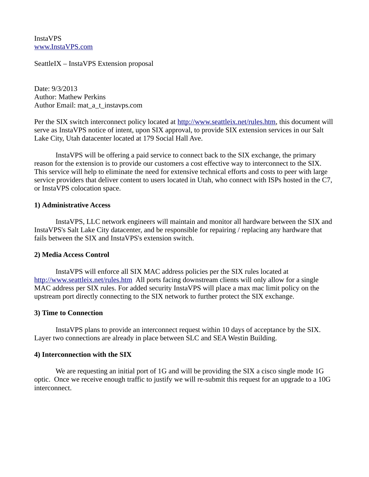InstaVPS [www.InstaVPS.com](http://www.InstaVPS.com/)

SeattleIX – InstaVPS Extension proposal

Date: 9/3/2013 Author: Mathew Perkins Author Email: mat\_a\_t\_instavps.com

Per the SIX switch interconnect policy located at [http://www.seattleix.net/rules.htm,](http://www.seattleix.net/rules.htm) this document will serve as InstaVPS notice of intent, upon SIX approval, to provide SIX extension services in our Salt Lake City, Utah datacenter located at 179 Social Hall Ave.

InstaVPS will be offering a paid service to connect back to the SIX exchange, the primary reason for the extension is to provide our customers a cost effective way to interconnect to the SIX. This service will help to eliminate the need for extensive technical efforts and costs to peer with large service providers that deliver content to users located in Utah, who connect with ISPs hosted in the C7, or InstaVPS colocation space.

### **1) Administrative Access**

InstaVPS, LLC network engineers will maintain and monitor all hardware between the SIX and InstaVPS's Salt Lake City datacenter, and be responsible for repairing / replacing any hardware that fails between the SIX and InstaVPS's extension switch.

# **2) Media Access Control**

InstaVPS will enforce all SIX MAC address policies per the SIX rules located at <http://www.seattleix.net/rules.htm>All ports facing downstream clients will only allow for a single MAC address per SIX rules. For added security InstaVPS will place a max mac limit policy on the upstream port directly connecting to the SIX network to further protect the SIX exchange.

### **3) Time to Connection**

InstaVPS plans to provide an interconnect request within 10 days of acceptance by the SIX. Layer two connections are already in place between SLC and SEA Westin Building.

# **4) Interconnection with the SIX**

We are requesting an initial port of 1G and will be providing the SIX a cisco single mode 1G optic. Once we receive enough traffic to justify we will re-submit this request for an upgrade to a 10G interconnect.